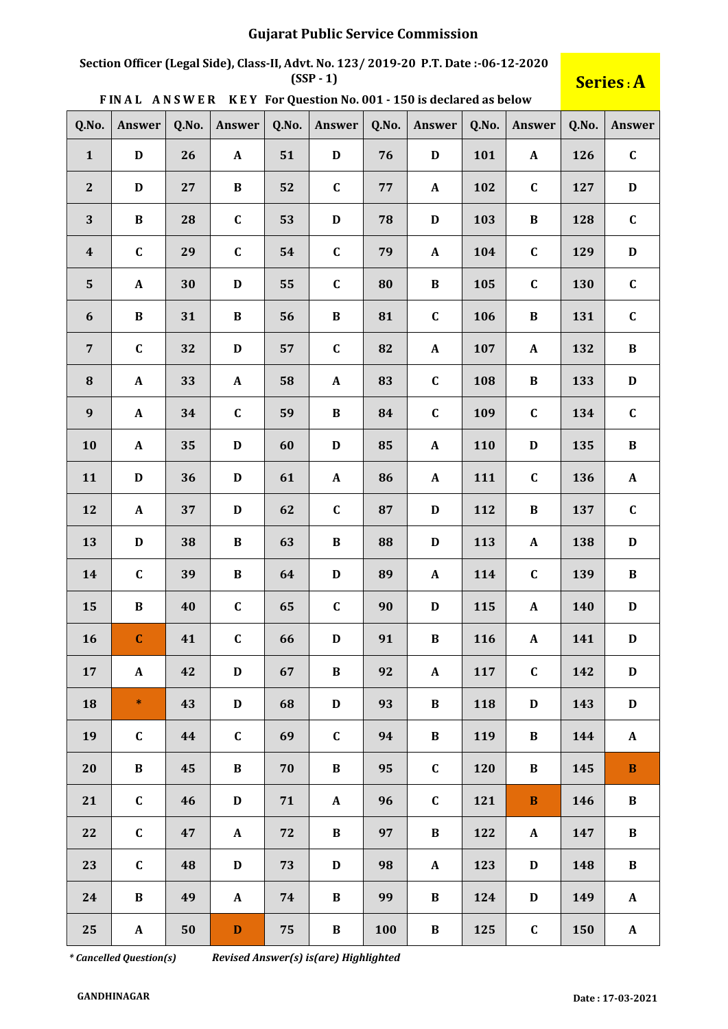# **Section Officer (Legal Side), Class-II, Advt. No. 123/ 2019-20 P.T. Date :-06-12-2020**

## $S$ **eries** : A

|  |  |  | FINAL ANSWER KEY For Question No. 001 - 150 is declared as below |
|--|--|--|------------------------------------------------------------------|
|--|--|--|------------------------------------------------------------------|

| Q.No.            | Answer       | Q.No. | Answer       | Q.No. | Answer       | Q.No. | Answer                    | Q.No. | Answer           | Q.No. | Answer       |
|------------------|--------------|-------|--------------|-------|--------------|-------|---------------------------|-------|------------------|-------|--------------|
| $\mathbf{1}$     | $\mathbf D$  | 26    | ${\bf A}$    | 51    | $\mathbf D$  | 76    | $\mathbf D$               | 101   | $\mathbf{A}$     | 126   | $\mathbf C$  |
| 2                | $\mathbf D$  | 27    | $\, {\bf B}$ | 52    | $\mathbf C$  | 77    | $\mathbf A$               | 102   | $\mathbf C$      | 127   | $\mathbf D$  |
| 3                | $\, {\bf B}$ | 28    | $\mathbf C$  | 53    | $\mathbf D$  | 78    | $\mathbf D$               | 103   | $\bf{B}$         | 128   | $\mathbf C$  |
| $\boldsymbol{4}$ | $\mathbf C$  | 29    | $\mathbf C$  | 54    | $\mathbf C$  | 79    | $\mathbf{A}$              | 104   | $\mathbf C$      | 129   | $\mathbf D$  |
| $5\phantom{.}$   | $\mathbf{A}$ | 30    | $\mathbf D$  | 55    | $\mathbf C$  | 80    | $\bf{B}$                  | 105   | $\mathbf C$      | 130   | $\mathbf C$  |
| $\boldsymbol{6}$ | $\, {\bf B}$ | 31    | $\, {\bf B}$ | 56    | $\, {\bf B}$ | 81    | $\mathbf C$               | 106   | $\bf{B}$         | 131   | $\mathbf C$  |
| $\overline{7}$   | $\mathbf C$  | 32    | $\mathbf D$  | 57    | $\mathbf C$  | 82    | $\mathbf A$               | 107   | $\mathbf{A}$     | 132   | $\, {\bf B}$ |
| 8                | $\mathbf A$  | 33    | $\mathbf{A}$ | 58    | $\mathbf{A}$ | 83    | $\mathbf C$               | 108   | $\, {\bf B}$     | 133   | $\mathbf D$  |
| $\boldsymbol{9}$ | $\mathbf{A}$ | 34    | $\mathbf C$  | 59    | $\bf{B}$     | 84    | $\mathbf C$               | 109   | $\mathbf C$      | 134   | $\mathbf C$  |
| 10               | $\mathbf{A}$ | 35    | $\mathbf D$  | 60    | $\mathbf D$  | 85    | $\mathbf{A}$              | 110   | $\mathbf D$      | 135   | $\, {\bf B}$ |
| 11               | $\mathbf D$  | 36    | $\mathbf D$  | 61    | $\mathbf A$  | 86    | $\mathbf{A}$              | 111   | $\mathbf C$      | 136   | $\mathbf{A}$ |
| 12               | $\mathbf{A}$ | 37    | $\mathbf D$  | 62    | $\mathbf C$  | 87    | D                         | 112   | $\bf{B}$         | 137   | $\mathbf C$  |
| 13               | $\mathbf D$  | 38    | $\bf{B}$     | 63    | $\, {\bf B}$ | 88    | $\mathbf D$               | 113   | $\mathbf{A}$     | 138   | $\mathbf D$  |
| 14               | $\mathbf C$  | 39    | $\, {\bf B}$ | 64    | $\mathbf D$  | 89    | $\mathbf{A}$              | 114   | $\mathbf C$      | 139   | $\bf{B}$     |
| 15               | $\, {\bf B}$ | 40    | $\mathbf C$  | 65    | $\mathbf C$  | 90    | $\mathbf D$               | 115   | $\mathbf{A}$     | 140   | $\mathbf D$  |
| 16               | $\mathbf C$  | 41    | $\mathbf C$  | 66    | $\mathbf D$  | 91    | $\bf{B}$                  | 116   | $\boldsymbol{A}$ | 141   | $\mathbf D$  |
| 17               | $\mathbf A$  | 42    | $\mathbf D$  | 67    | $\, {\bf B}$ | 92    | $\boldsymbol{\mathsf{A}}$ | 117   | $\mathbf C$      | 142   | $\mathbf D$  |
| 18               | $\ast$       | 43    | $\mathbf D$  | 68    | $\mathbf D$  | 93    | $\bf{B}$                  | 118   | $\mathbf D$      | 143   | $\mathbf D$  |
| 19               | $\mathbf C$  | 44    | $\mathbf C$  | 69    | $\mathbf C$  | 94    | $\bf{B}$                  | 119   | $\bf{B}$         | 144   | $\mathbf{A}$ |
| 20               | $\bf{B}$     | 45    | $\bf{B}$     | 70    | $\bf{B}$     | 95    | $\mathbf C$               | 120   | $\bf{B}$         | 145   | $\, {\bf B}$ |
| 21               | $\mathbf C$  | 46    | $\mathbf D$  | 71    | ${\bf A}$    | 96    | $\mathbf C$               | 121   | $\, {\bf B}$     | 146   | $\bf{B}$     |
| 22               | $\mathbf{C}$ | 47    | $\mathbf{A}$ | 72    | $\bf{B}$     | 97    | $\bf{B}$                  | 122   | $\mathbf{A}$     | 147   | $\bf{B}$     |
| 23               | $\mathbf C$  | 48    | $\mathbf D$  | 73    | $\mathbf D$  | 98    | $\mathbf{A}$              | 123   | D                | 148   | $\bf{B}$     |
| 24               | $\, {\bf B}$ | 49    | $\mathbf{A}$ | 74    | $\bf{B}$     | 99    | $\bf{B}$                  | 124   | $\mathbf D$      | 149   | $\mathbf{A}$ |
| 25               | $\mathbf{A}$ | 50    | $\mathbf D$  | 75    | $\bf{B}$     | 100   | $\bf{B}$                  | 125   | $\mathbf C$      | 150   | $\mathbf{A}$ |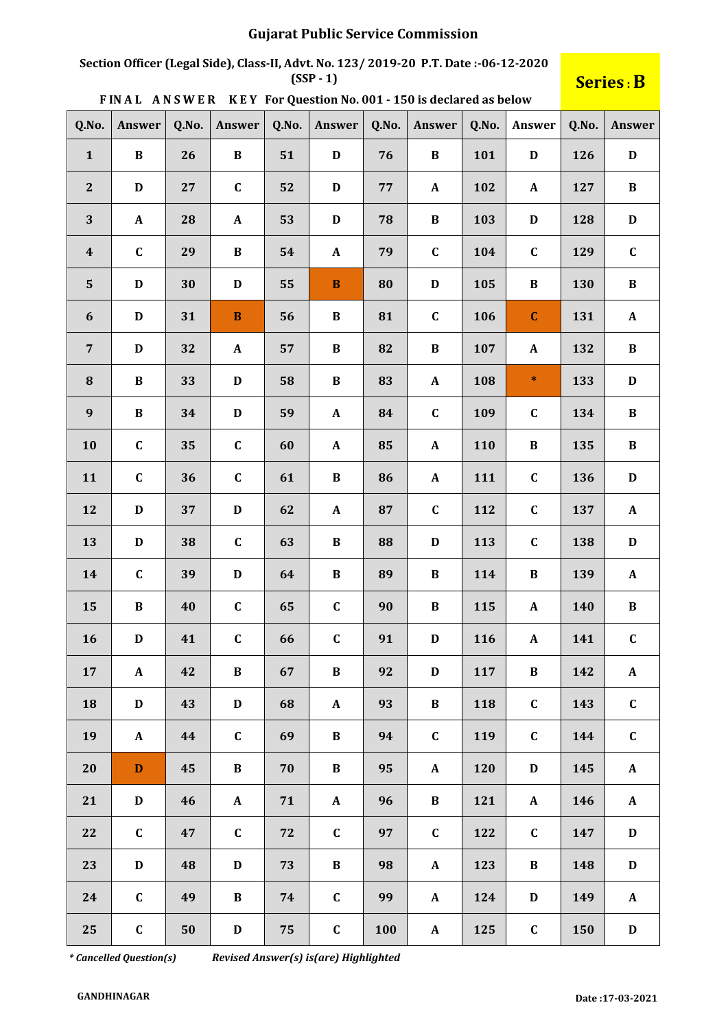# **Section Officer (Legal Side), Class-II, Advt. No. 123/ 2019-20 P.T. Date :-06-12-2020**

## $S$ **eries** : B

|  |  |  | FINAL ANSWER KEY For Question No. 001 - 150 is declared as below |
|--|--|--|------------------------------------------------------------------|
|--|--|--|------------------------------------------------------------------|

| Q.No.            | Answer                | Q.No. | Answer                | Q.No. | Answer       | Q.No. | Answer       | Q.No. | Answer                    | Q.No. | Answer       |
|------------------|-----------------------|-------|-----------------------|-------|--------------|-------|--------------|-------|---------------------------|-------|--------------|
| $\mathbf{1}$     | $\, {\bf B}$          | 26    | $\, {\bf B}$          | 51    | $\mathbf D$  | 76    | $\, {\bf B}$ | 101   | $\mathbf D$               | 126   | $\mathbf D$  |
| $\mathbf{2}$     | $\mathbf D$           | 27    | $\mathbf C$           | 52    | $\mathbf D$  | 77    | $\mathbf{A}$ | 102   | $\mathbf{A}$              | 127   | $\, {\bf B}$ |
| 3                | $\boldsymbol{\rm{A}}$ | 28    | $\boldsymbol{\rm{A}}$ | 53    | $\mathbf D$  | 78    | $\, {\bf B}$ | 103   | $\mathbf D$               | 128   | $\mathbf D$  |
| $\boldsymbol{4}$ | $\mathbf C$           | 29    | $\, {\bf B}$          | 54    | $\mathbf{A}$ | 79    | $\mathbf C$  | 104   | $\mathbf C$               | 129   | $\mathbf C$  |
| $5\phantom{.}$   | $\mathbf D$           | 30    | $\mathbf D$           | 55    | $\, {\bf B}$ | 80    | $\mathbf D$  | 105   | $\bf{B}$                  | 130   | $\, {\bf B}$ |
| $\boldsymbol{6}$ | $\mathbf D$           | 31    | $\bf{B}$              | 56    | $\bf{B}$     | 81    | $\mathbf C$  | 106   | $\mathbf C$               | 131   | $\mathbf A$  |
| $\overline{7}$   | $\mathbf D$           | 32    | $\mathbf A$           | 57    | $\, {\bf B}$ | 82    | $\, {\bf B}$ | 107   | $\boldsymbol{A}$          | 132   | $\, {\bf B}$ |
| 8                | $\bf{B}$              | 33    | $\mathbf D$           | 58    | $\, {\bf B}$ | 83    | $\mathbf A$  | 108   | $\ast$                    | 133   | $\mathbf D$  |
| $\boldsymbol{9}$ | $\bf{B}$              | 34    | $\mathbf D$           | 59    | $\mathbf A$  | 84    | $\mathbf C$  | 109   | $\mathbf C$               | 134   | $\, {\bf B}$ |
| 10               | $\mathbf C$           | 35    | $\mathbf C$           | 60    | $\mathbf{A}$ | 85    | $\mathbf A$  | 110   | $\, {\bf B}$              | 135   | $\, {\bf B}$ |
| 11               | $\mathbf C$           | 36    | $\mathbf C$           | 61    | $\, {\bf B}$ | 86    | $\mathbf A$  | 111   | $\mathbf C$               | 136   | $\mathbf D$  |
| 12               | $\mathbf D$           | 37    | $\mathbf D$           | 62    | $\mathbf{A}$ | 87    | $\mathbf C$  | 112   | $\mathbf C$               | 137   | $\mathbf A$  |
| 13               | $\mathbf D$           | 38    | $\mathbf C$           | 63    | $\, {\bf B}$ | 88    | $\mathbf D$  | 113   | $\mathbf C$               | 138   | $\mathbf D$  |
| 14               | $\mathbf C$           | 39    | $\mathbf D$           | 64    | $\, {\bf B}$ | 89    | $\bf{B}$     | 114   | $\, {\bf B}$              | 139   | $\mathbf{A}$ |
| 15               | $\, {\bf B}$          | 40    | $\mathbf C$           | 65    | $\mathbf C$  | 90    | $\bf{B}$     | 115   | $\mathbf{A}$              | 140   | $\bf{B}$     |
| 16               | $\mathbf D$           | 41    | $\mathbf C$           | 66    | $\mathbf C$  | 91    | D            | 116   | $\boldsymbol{\mathsf{A}}$ | 141   | $\mathbf C$  |
| 17               | $\mathbf{A}$          | 42    | $\, {\bf B}$          | 67    | $\, {\bf B}$ | 92    | $\mathbf D$  | 117   | $\, {\bf B}$              | 142   | $\mathbf{A}$ |
| 18               | $\mathbf D$           | 43    | $\mathbf D$           | 68    | $\mathbf{A}$ | 93    | $\, {\bf B}$ | 118   | $\mathbf C$               | 143   | $\mathbf C$  |
| 19               | ${\bf A}$             | 44    | $\mathbf C$           | 69    | $\bf{B}$     | 94    | $\mathbf C$  | 119   | $\mathbf C$               | 144   | $\mathbf C$  |
| 20               | $\mathbf{D}$          | 45    | $\, {\bf B} \,$       | 70    | $\bf{B}$     | 95    | $\mathbf{A}$ | 120   | $\mathbf D$               | 145   | $\mathbf{A}$ |
| 21               | $\mathbf D$           | 46    | ${\bf A}$             | 71    | ${\bf A}$    | 96    | $\bf{B}$     | 121   | $\mathbf{A}$              | 146   | $\mathbf{A}$ |
| 22               | $\mathbf C$           | 47    | $\mathbf C$           | 72    | $\mathbf{C}$ | 97    | $\mathbf C$  | 122   | $\mathbf C$               | 147   | $\mathbf D$  |
| 23               | $\mathbf D$           | 48    | $\mathbf D$           | 73    | $\bf{B}$     | 98    | $\mathbf{A}$ | 123   | $\, {\bf B}$              | 148   | $\mathbf D$  |
| 24               | $\mathbf C$           | 49    | $\bf{B}$              | 74    | $\mathbf C$  | 99    | $\mathbf{A}$ | 124   | $\mathbf D$               | 149   | $\mathbf{A}$ |
| 25               | $\mathbf C$           | 50    | $\mathbf D$           | 75    | $\mathbf C$  | 100   | $\mathbf A$  | 125   | $\mathbf C$               | 150   | $\mathbf D$  |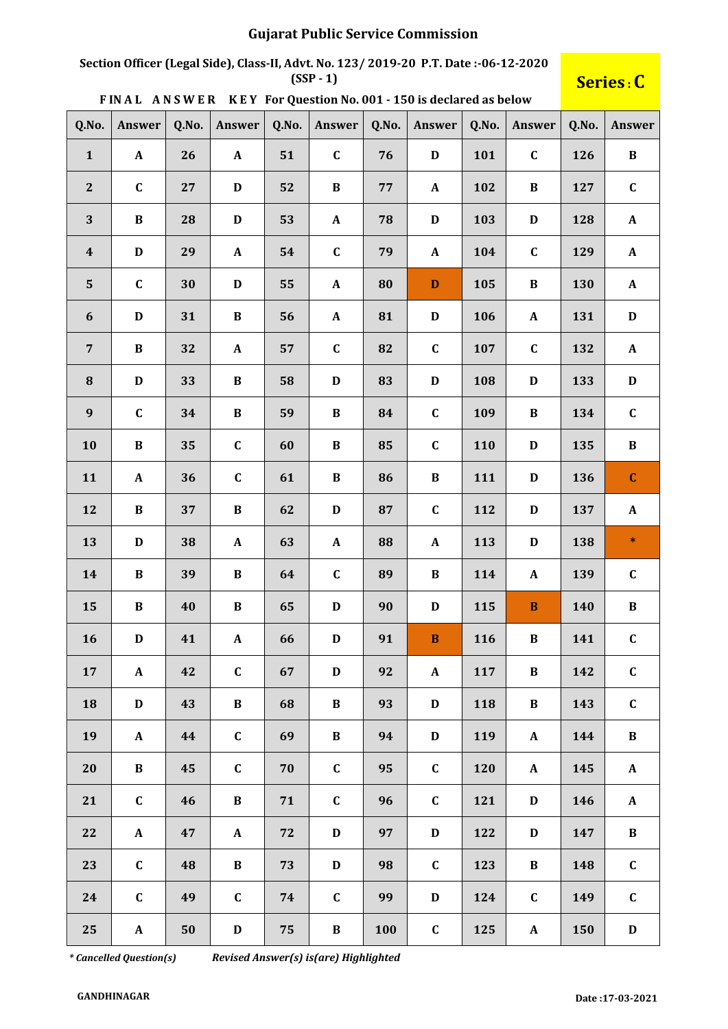# **Section Officer (Legal Side), Class-II, Advt. No. 123/ 2019-20 P.T. Date :-06-12-2020**

## $S$ **eries** : **C**

|  | FINAL ANSWER KEY For Question No. 001 - 150 is declared as below |
|--|------------------------------------------------------------------|
|--|------------------------------------------------------------------|

| Q.No.            | Answer       | Q.No. | Answer          | Q.No. | Answer       | Q.No. | Answer       | Q.No. | Answer           | Q.No. | Answer       |
|------------------|--------------|-------|-----------------|-------|--------------|-------|--------------|-------|------------------|-------|--------------|
| $\mathbf{1}$     | $\mathbf A$  | 26    | ${\bf A}$       | 51    | $\mathbf C$  | 76    | $\mathbf D$  | 101   | $\mathbf C$      | 126   | $\, {\bf B}$ |
| $\mathbf{2}$     | $\mathbf C$  | 27    | $\mathbf D$     | 52    | $\, {\bf B}$ | 77    | $\mathbf{A}$ | 102   | $\bf{B}$         | 127   | $\mathbf C$  |
| 3                | $\, {\bf B}$ | 28    | $\mathbf D$     | 53    | $\mathbf A$  | 78    | $\mathbf D$  | 103   | D                | 128   | $\mathbf{A}$ |
| $\boldsymbol{4}$ | $\mathbf D$  | 29    | $\mathbf A$     | 54    | $\mathbf C$  | 79    | $\mathbf{A}$ | 104   | $\mathbf C$      | 129   | $\mathbf{A}$ |
| ${\bf 5}$        | $\mathbf C$  | 30    | $\mathbf D$     | 55    | $\pmb{A}$    | 80    | $\mathbf D$  | 105   | $\bf{B}$         | 130   | $\mathbf{A}$ |
| $\boldsymbol{6}$ | $\mathbf D$  | 31    | $\, {\bf B}$    | 56    | $\pmb{A}$    | 81    | $\mathbf D$  | 106   | $\boldsymbol{A}$ | 131   | $\mathbf D$  |
| $\overline{7}$   | $\, {\bf B}$ | 32    | $\mathbf A$     | 57    | $\mathbf C$  | 82    | $\mathbf C$  | 107   | $\mathbf C$      | 132   | $\mathbf{A}$ |
| ${\bf 8}$        | $\mathbf D$  | 33    | $\, {\bf B}$    | 58    | $\mathbf D$  | 83    | $\mathbf D$  | 108   | D                | 133   | $\mathbf D$  |
| 9                | $\mathbf C$  | 34    | $\, {\bf B}$    | 59    | $\, {\bf B}$ | 84    | $\mathbf C$  | 109   | $\bf{B}$         | 134   | $\mathbf C$  |
| 10               | $\, {\bf B}$ | 35    | $\mathbf C$     | 60    | $\, {\bf B}$ | 85    | $\mathbf C$  | 110   | $\mathbf D$      | 135   | $\, {\bf B}$ |
| 11               | $\mathbf A$  | 36    | $\mathbf C$     | 61    | $\, {\bf B}$ | 86    | $\bf{B}$     | 111   | $\mathbf D$      | 136   | $\mathbf C$  |
| 12               | $\, {\bf B}$ | 37    | $\, {\bf B}$    | 62    | $\mathbf D$  | 87    | $\mathbf C$  | 112   | $\mathbf D$      | 137   | $\mathbf A$  |
| 13               | $\mathbf D$  | 38    | $\mathbf A$     | 63    | ${\bf A}$    | 88    | $\mathbf{A}$ | 113   | $\mathbf D$      | 138   | $\ast$       |
| 14               | $\, {\bf B}$ | 39    | $\, {\bf B}$    | 64    | $\mathbf C$  | 89    | $\bf{B}$     | 114   | $\mathbf{A}$     | 139   | $\mathbf C$  |
| 15               | $\, {\bf B}$ | 40    | $\, {\bf B}$    | 65    | $\mathbf D$  | 90    | $\mathbf D$  | 115   | $\mathbf B$      | 140   | $\, {\bf B}$ |
| 16               | $\mathbf D$  | 41    | $\pmb{A}$       | 66    | $\mathbf D$  | 91    | $\bf{B}$     | 116   | $\bf{B}$         | 141   | $\mathbf C$  |
| 17               | $\mathbf{A}$ | 42    | $\mathbf C$     | 67    | $\mathbf D$  | 92    | $\mathbf A$  | 117   | $\bf{B}$         | 142   | $\mathbf C$  |
| 18               | $\mathbf D$  | 43    | $\, {\bf B} \,$ | 68    | $\bf{B}$     | 93    | $\mathbf D$  | 118   | $\bf{B}$         | 143   | $\mathbf C$  |
| 19               | $\mathbf{A}$ | 44    | $\mathbf C$     | 69    | $\bf{B}$     | 94    | D            | 119   | $\mathbf{A}$     | 144   | $\bf{B}$     |
| 20               | $\bf{B}$     | 45    | $\mathbf C$     | 70    | $\mathbf{C}$ | 95    | $\mathbf C$  | 120   | $\mathbf{A}$     | 145   | $\mathbf{A}$ |
| 21               | $\mathbf C$  | 46    | $\bf{B}$        | 71    | $\mathbf{C}$ | 96    | $\mathbf C$  | 121   | $\mathbf D$      | 146   | $\mathbf{A}$ |
| 22               | $\mathbf{A}$ | 47    | $\mathbf{A}$    | 72    | $\mathbf D$  | 97    | $\mathbf D$  | 122   | $\mathbf D$      | 147   | $\bf{B}$     |
| 23               | $\mathbf C$  | 48    | $\bf{B}$        | 73    | $\mathbf D$  | 98    | $\mathbf C$  | 123   | $\bf{B}$         | 148   | $\mathbf C$  |
| 24               | $\mathbf C$  | 49    | $\mathbf C$     | 74    | $\mathbf C$  | 99    | D            | 124   | $\mathbf C$      | 149   | $\mathbf C$  |
| 25               | $\mathbf{A}$ | 50    | $\mathbf D$     | 75    | $\bf{B}$     | 100   | $\mathbf{C}$ | 125   | $\mathbf{A}$     | 150   | $\mathbf D$  |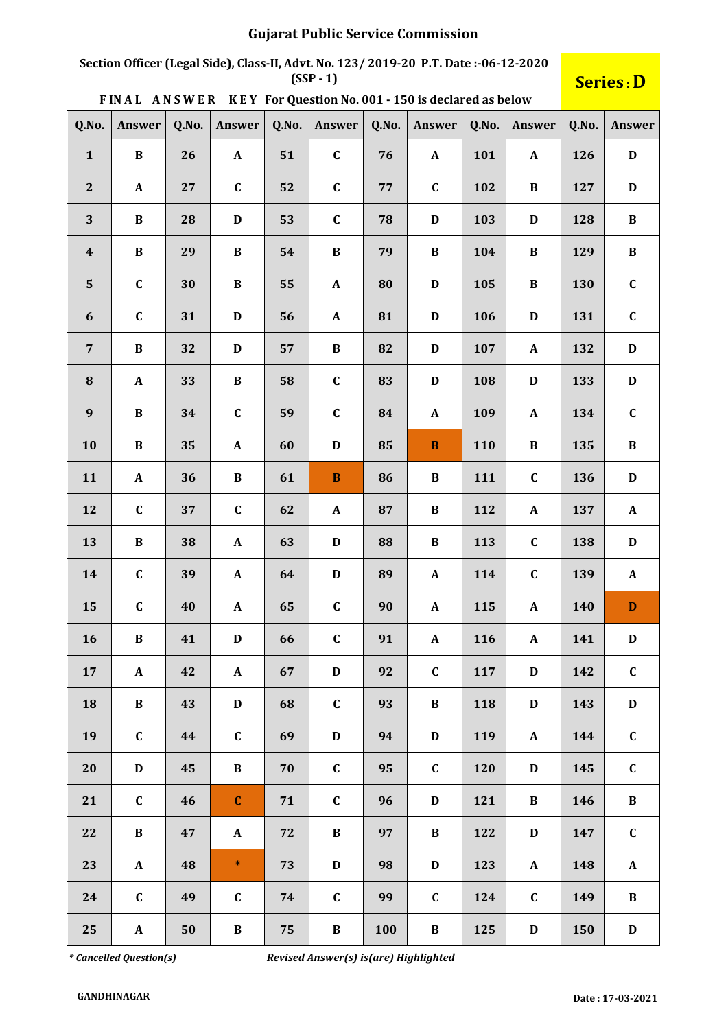# **Section Officer (Legal Side), Class-II, Advt. No. 123/ 2019-20 P.T. Date :-06-12-2020**

## $S$ **eries** : D

|  |  |  | FINAL ANSWER KEY For Question No. 001 - 150 is declared as below |
|--|--|--|------------------------------------------------------------------|
|--|--|--|------------------------------------------------------------------|

| Q.No.            | Answer       | Q.No. | Answer       | Q.No. | Answer           | Q.No.      | Answer       | Q.No. | Answer       | Q.No. | Answer       |
|------------------|--------------|-------|--------------|-------|------------------|------------|--------------|-------|--------------|-------|--------------|
| $\mathbf{1}$     | $\, {\bf B}$ | 26    | ${\bf A}$    | 51    | $\mathbf C$      | 76         | $\mathbf{A}$ | 101   | $\mathbf{A}$ | 126   | $\mathbf D$  |
| $\mathbf{2}$     | $\mathbf{A}$ | 27    | $\mathbf C$  | 52    | $\mathbf C$      | ${\bf 77}$ | $\mathbf C$  | 102   | $\bf{B}$     | 127   | $\mathbf D$  |
| 3                | $\, {\bf B}$ | 28    | $\mathbf D$  | 53    | $\mathbf C$      | 78         | $\mathbf D$  | 103   | D            | 128   | $\, {\bf B}$ |
| $\boldsymbol{4}$ | $\, {\bf B}$ | 29    | $\, {\bf B}$ | 54    | $\, {\bf B}$     | 79         | $\bf{B}$     | 104   | $\bf{B}$     | 129   | $\, {\bf B}$ |
| $\mathbf{5}$     | $\mathbf C$  | 30    | $\, {\bf B}$ | 55    | $\mathbf{A}$     | 80         | $\mathbf D$  | 105   | $\bf{B}$     | 130   | $\mathbf C$  |
| 6                | $\mathbf C$  | 31    | $\mathbf D$  | 56    | $\boldsymbol{A}$ | 81         | $\mathbf D$  | 106   | D            | 131   | $\mathbf C$  |
| $\overline{7}$   | $\bf{B}$     | 32    | $\mathbf D$  | 57    | $\, {\bf B}$     | 82         | $\mathbf D$  | 107   | $\mathbf{A}$ | 132   | $\mathbf D$  |
| 8                | $\mathbf A$  | 33    | $\, {\bf B}$ | 58    | $\mathbf C$      | 83         | $\mathbf D$  | 108   | D            | 133   | $\mathbf D$  |
| $\boldsymbol{9}$ | $\, {\bf B}$ | 34    | $\mathbf C$  | 59    | $\mathbf C$      | 84         | $\mathbf{A}$ | 109   | $\mathbf{A}$ | 134   | $\mathbf C$  |
| 10               | $\bf{B}$     | 35    | $\mathbf{A}$ | 60    | $\mathbf D$      | 85         | $\, {\bf B}$ | 110   | $\bf{B}$     | 135   | $\, {\bf B}$ |
| 11               | $\mathbf{A}$ | 36    | $\, {\bf B}$ | 61    | $\, {\bf B}$     | 86         | $\bf{B}$     | 111   | $\mathbf C$  | 136   | $\mathbf D$  |
| 12               | $\mathbf{C}$ | 37    | $\mathbf C$  | 62    | $\mathbf{A}$     | 87         | $\bf{B}$     | 112   | $\mathbf A$  | 137   | $\mathbf A$  |
| 13               | $\, {\bf B}$ | 38    | $\mathbf A$  | 63    | $\mathbf D$      | 88         | $\bf{B}$     | 113   | $\mathbf C$  | 138   | $\mathbf D$  |
| 14               | $\mathbf C$  | 39    | $\mathbf A$  | 64    | $\mathbf D$      | 89         | $\mathbf{A}$ | 114   | $\mathbf C$  | 139   | $\mathbf{A}$ |
| 15               | $\mathbf C$  | 40    | $\mathbf{A}$ | 65    | $\mathbf C$      | 90         | $\mathbf{A}$ | 115   | $\mathbf{A}$ | 140   | $\mathbf D$  |
| 16               | $\, {\bf B}$ | 41    | $\mathbf D$  | 66    | $\mathbf C$      | 91         | $\mathbf A$  | 116   | $\mathbf A$  | 141   | $\mathbf D$  |
| 17               | ${\bf A}$    | 42    | $\mathbf{A}$ | 67    | $\mathbf D$      | 92         | $\mathbf C$  | 117   | $\mathbf D$  | 142   | $\mathbf C$  |
| 18               | $\bf{B}$     | 43    | $\mathbf D$  | 68    | $\mathbf{C}$     | 93         | $\bf{B}$     | 118   | $\mathbf D$  | 143   | $\mathbf D$  |
| 19               | $\mathbf{C}$ | 44    | $\mathbf C$  | 69    | $\mathbf D$      | 94         | $\mathbf D$  | 119   | $\mathbf A$  | 144   | $\mathbf C$  |
| 20               | $\mathbf{D}$ | 45    | $\bf{B}$     | 70    | $\mathbf{C}$     | 95         | $\mathbf C$  | 120   | D            | 145   | $\mathbf{C}$ |
| 21               | $\mathbf C$  | 46    | $\mathbf C$  | 71    | $\mathbf{C}$     | 96         | $\mathbf D$  | 121   | $\bf{B}$     | 146   | $\bf{B}$     |
| 22               | $\bf{B}$     | 47    | ${\bf A}$    | 72    | $\bf{B}$         | 97         | $\bf{B}$     | 122   | $\mathbf D$  | 147   | $\mathbf{C}$ |
| 23               | $\mathbf{A}$ | 48    | $\ast$       | 73    | $\mathbf D$      | 98         | $\mathbf D$  | 123   | $\mathbf{A}$ | 148   | $\mathbf{A}$ |
| 24               | $\mathbf{C}$ | 49    | $\mathbf C$  | 74    | $\mathbf C$      | 99         | $\mathbf C$  | 124   | $\mathbf C$  | 149   | $\, {\bf B}$ |
| 25               | $\mathbf{A}$ | 50    | $\, {\bf B}$ | 75    | $\bf{B}$         | 100        | $\bf{B}$     | 125   | $\mathbf D$  | 150   | $\mathbf D$  |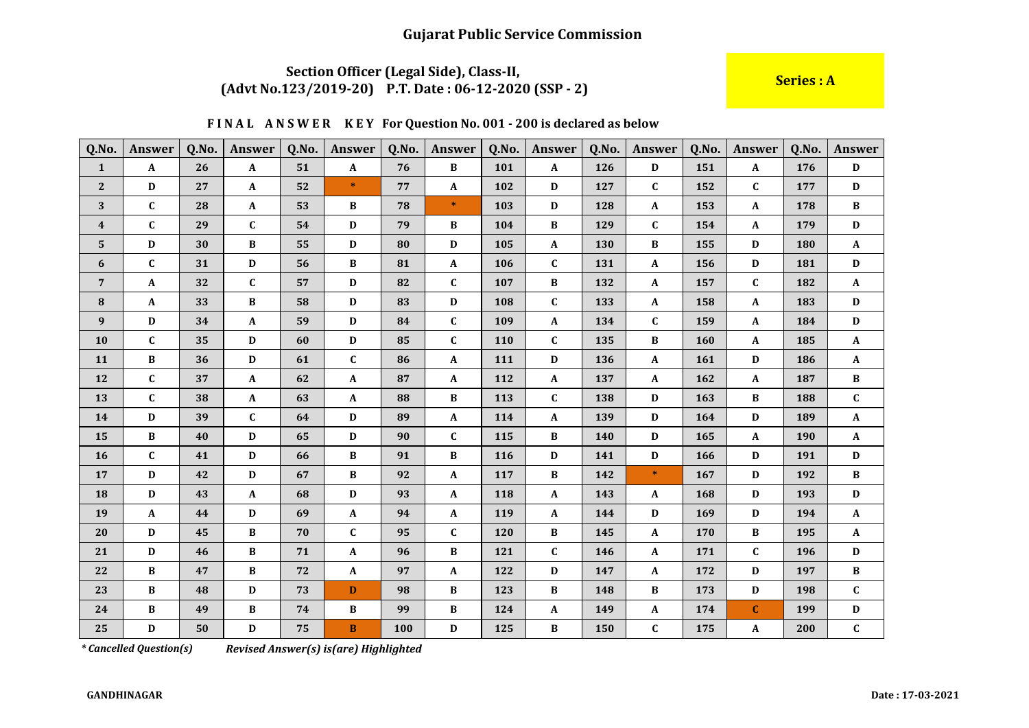#### Section Officer (Legal Side), Class-II, (Advt No.123/2019-20) P.T. Date: 06-12-2020 (SSP - 2)

Series : A

#### FINAL ANSWER KEY For Question No. 001 - 200 is declared as below

| Q.No.            | <b>Answer</b>             | Q.No. | Answer       | Q.No. | <b>Answer</b>             | Q.No. | Answer       | Q.No. | Answer       | Q.No. | Answer       | Q.No. | <b>Answer</b> | Q.No. | Answer          |
|------------------|---------------------------|-------|--------------|-------|---------------------------|-------|--------------|-------|--------------|-------|--------------|-------|---------------|-------|-----------------|
| $\mathbf{1}$     | $\boldsymbol{\mathsf{A}}$ | 26    | $\mathbf A$  | 51    | $\boldsymbol{\mathsf{A}}$ | 76    | $\, {\bf B}$ | 101   | $\mathbf{A}$ | 126   | $\mathbf{D}$ | 151   | $\mathbf{A}$  | 176   | $\mathbf D$     |
| $\mathbf{2}$     | D                         | 27    | A            | 52    | $\ast$                    | 77    | $\mathbf{A}$ | 102   | D            | 127   | C            | 152   | $\mathbf{C}$  | 177   | $\mathbf D$     |
| 3                | $\mathbf{C}$              | 28    | A            | 53    | B                         | 78    | $\ast$       | 103   | D            | 128   | A            | 153   | A             | 178   | B               |
| $\boldsymbol{4}$ | $\mathbf C$               | 29    | $\mathbf C$  | 54    | D                         | 79    | B            | 104   | B            | 129   | $\mathbf{C}$ | 154   | $\mathbf{A}$  | 179   | D               |
| 5                | D                         | 30    | B            | 55    | D                         | 80    | D            | 105   | $\mathbf{A}$ | 130   | B            | 155   | D             | 180   | $\mathbf{A}$    |
| 6                | $\mathbf C$               | 31    | $\mathbf D$  | 56    | $\bf{B}$                  | 81    | $\mathbf{A}$ | 106   | $\mathbf C$  | 131   | $\mathbf A$  | 156   | D             | 181   | $\mathbf D$     |
| $\overline{7}$   | $\mathbf{A}$              | 32    | $\mathbf{C}$ | 57    | D                         | 82    | $\mathbf{C}$ | 107   | B            | 132   | $\mathbf{A}$ | 157   | $\mathbf{C}$  | 182   | $\mathbf{A}$    |
| ${\bf 8}$        | $\mathbf{A}$              | 33    | В            | 58    | D                         | 83    | $\mathbf D$  | 108   | $\mathbf C$  | 133   | $\mathbf A$  | 158   | $\mathbf{A}$  | 183   | $\mathbf D$     |
| 9                | D                         | 34    | A            | 59    | D                         | 84    | $\mathbf{C}$ | 109   | $\mathbf{A}$ | 134   | $\mathbf{C}$ | 159   | A             | 184   | D               |
| 10               | $\mathbf{C}$              | 35    | D            | 60    | D                         | 85    | $\mathbf{C}$ | 110   | $\mathbf{C}$ | 135   | B            | 160   | A             | 185   | $\mathbf{A}$    |
| 11               | $\bf{B}$                  | 36    | D            | 61    | $\mathbf C$               | 86    | $\mathbf{A}$ | 111   | D            | 136   | $\mathbf A$  | 161   | $\mathbf D$   | 186   | $\mathbf{A}$    |
| 12               | $\mathbf{C}$              | 37    | A            | 62    | $\mathbf{A}$              | 87    | $\mathbf{A}$ | 112   | $\mathbf{A}$ | 137   | $\mathbf{A}$ | 162   | $\mathbf{A}$  | 187   | $\, {\bf B}$    |
| 13               | $\mathbf C$               | 38    | A            | 63    | A                         | 88    | $\, {\bf B}$ | 113   | $\mathbf C$  | 138   | D            | 163   | $\, {\bf B}$  | 188   | $\mathbf C$     |
| 14               | $\mathbf{D}$              | 39    | $\mathbf{C}$ | 64    | D                         | 89    | $\mathbf{A}$ | 114   | $\mathbf{A}$ | 139   | D            | 164   | $\mathbf D$   | 189   | $\mathbf{A}$    |
| 15               | $\bf{B}$                  | 40    | D            | 65    | D                         | 90    | $\mathbf{C}$ | 115   | B            | 140   | D            | 165   | $\mathbf{A}$  | 190   | $\mathbf{A}$    |
| 16               | $\mathbf{C}$              | 41    | D            | 66    | B                         | 91    | B            | 116   | D            | 141   | D            | 166   | D             | 191   | D               |
| 17               | D                         | 42    | D            | 67    | $\, {\bf B}$              | 92    | $\mathbf{A}$ | 117   | B            | 142   | $\ast$       | 167   | D             | 192   | $\, {\bf B} \,$ |
| 18               | D                         | 43    | A            | 68    | D                         | 93    | $\mathbf{A}$ | 118   | $\mathbf{A}$ | 143   | A            | 168   | D             | 193   | $\mathbf D$     |
| 19               | $\mathbf{A}$              | 44    | $\mathbf D$  | 69    | $\mathbf{A}$              | 94    | $\mathbf{A}$ | 119   | A            | 144   | D            | 169   | D             | 194   | $\mathbf{A}$    |
| 20               | D                         | 45    | $\bf{B}$     | 70    | $\mathbf{C}$              | 95    | $\mathbf{C}$ | 120   | B            | 145   | $\mathbf A$  | 170   | $\, {\bf B}$  | 195   | $\mathbf{A}$    |
| 21               | D                         | 46    | B            | 71    | $\mathbf{A}$              | 96    | $\, {\bf B}$ | 121   | C            | 146   | $\mathbf A$  | 171   | $\mathbf{C}$  | 196   | $\mathbf D$     |
| 22               | $\bf{B}$                  | 47    | В            | 72    | A                         | 97    | $\mathbf{A}$ | 122   | $\mathbf D$  | 147   | A            | 172   | D             | 197   | $\, {\bf B}$    |
| 23               | B                         | 48    | D            | 73    | D                         | 98    | B            | 123   | В            | 148   | B            | 173   | D             | 198   | $\mathbf{C}$    |
| 24               | $\bf{B}$                  | 49    | В            | 74    | $\, {\bf B}$              | 99    | $\bf{B}$     | 124   | A            | 149   | $\mathbf A$  | 174   | $\mathbf{C}$  | 199   | D               |
| 25               | D                         | 50    | D            | 75    | $\bf{B}$                  | 100   | D            | 125   | B            | 150   | $\mathbf{C}$ | 175   | A             | 200   | $\mathbf{C}$    |

*\* Cancelled Question(s)* 

Revised Answer(s) is(are) Highlighted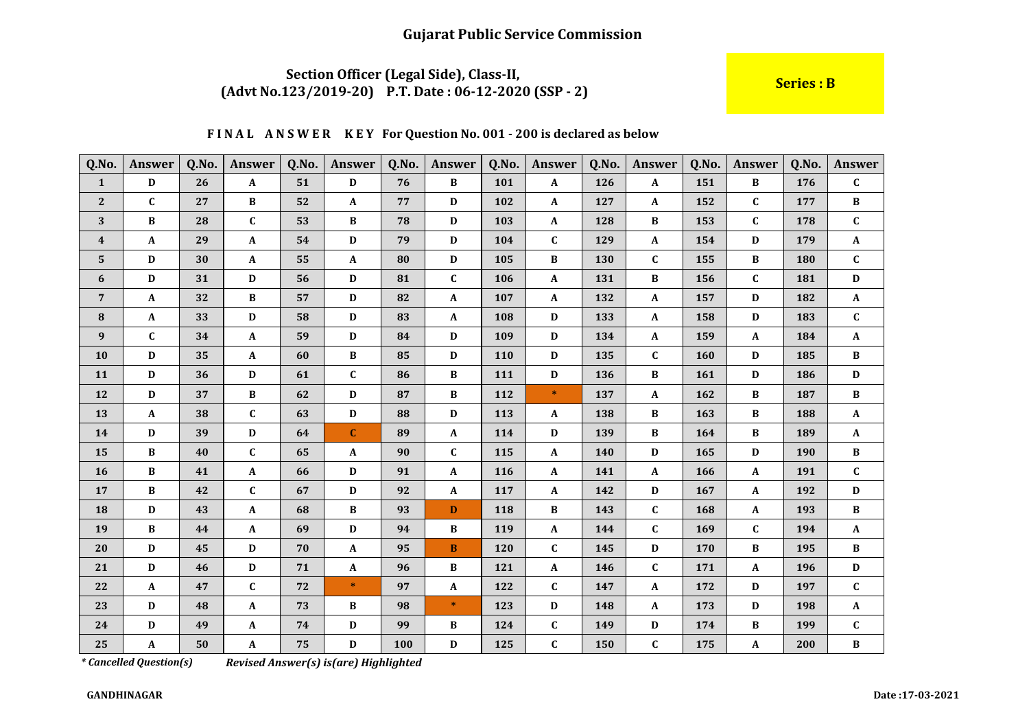### Section Officer (Legal Side), Class-II, (Advt No.123/2019-20) P.T. Date: 06-12-2020 (SSP - 2)

**Series: B** 

#### FINAL ANSWER KEY For Question No. 001 - 200 is declared as below

| Q.No.            | <b>Answer</b> | Q.No. | Answer       | Q.No. | <b>Answer</b>    | Q.No. | <b>Answer</b> | Q.No. | Answer       | Q.No. | Answer       | Q.No. | <b>Answer</b> | Q.No. | <b>Answer</b>   |
|------------------|---------------|-------|--------------|-------|------------------|-------|---------------|-------|--------------|-------|--------------|-------|---------------|-------|-----------------|
| $\mathbf{1}$     | D             | 26    | A            | 51    | $\mathbf D$      | 76    | $\bf{B}$      | 101   | $\mathbf{A}$ | 126   | A            | 151   | B             | 176   | $\mathbf{C}$    |
| $\mathbf{2}$     | $\mathbf{C}$  | 27    | B            | 52    | A                | 77    | D             | 102   | A            | 127   | A            | 152   | $\mathbf{C}$  | 177   | $\, {\bf B} \,$ |
| 3                | $\bf{B}$      | 28    | $\mathbf{C}$ | 53    | $\, {\bf B}$     | 78    | $\mathbf{D}$  | 103   | $\mathbf{A}$ | 128   | $\, {\bf B}$ | 153   | $\mathbf{C}$  | 178   | $\mathbf{C}$    |
| $\boldsymbol{4}$ | A             | 29    | A            | 54    | D                | 79    | $\mathbf{D}$  | 104   | $\mathbf{C}$ | 129   | $\mathbf A$  | 154   | D             | 179   | $\mathbf{A}$    |
| $5\phantom{.0}$  | D             | 30    | A            | 55    | $\mathbf A$      | 80    | D             | 105   | B            | 130   | $\mathbf{C}$ | 155   | B             | 180   | $\mathbf{C}$    |
| 6                | $\mathbf{D}$  | 31    | D            | 56    | D                | 81    | $\mathbf{C}$  | 106   | $\mathbf A$  | 131   | $\bf{B}$     | 156   | $\mathbf{C}$  | 181   | $\mathbf D$     |
| $\overline{7}$   | $\mathbf{A}$  | 32    | B            | 57    | D                | 82    | $\mathbf{A}$  | 107   | $\mathbf{A}$ | 132   | A            | 157   | D             | 182   | $\mathbf{A}$    |
| 8                | $\mathbf{A}$  | 33    | D            | 58    | D                | 83    | $\mathbf{A}$  | 108   | D            | 133   | A            | 158   | D             | 183   | $\mathbf{C}$    |
| $\boldsymbol{9}$ | $\mathbf{C}$  | 34    | A            | 59    | $\mathbf D$      | 84    | D             | 109   | $\mathbf D$  | 134   | $\pmb{A}$    | 159   | $\mathbf{A}$  | 184   | $\mathbf{A}$    |
| 10               | D             | 35    | A            | 60    | $\bf{B}$         | 85    | D             | 110   | D            | 135   | $\mathbf C$  | 160   | D             | 185   | $\bf{B}$        |
| 11               | $\mathbf{D}$  | 36    | D            | 61    | $\mathbf{C}$     | 86    | $\, {\bf B}$  | 111   | $\mathbf D$  | 136   | B            | 161   | $\mathbf D$   | 186   | $\mathbf D$     |
| 12               | $\mathbf{D}$  | 37    | $\bf{B}$     | 62    | D                | 87    | $\bf{B}$      | 112   | $\ast$       | 137   | $\mathbf{A}$ | 162   | B             | 187   | $\, {\bf B}$    |
| 13               | $\mathbf{A}$  | 38    | $\mathbf{C}$ | 63    | D                | 88    | $\mathbf{D}$  | 113   | $\mathbf{A}$ | 138   | B            | 163   | B             | 188   | $\mathbf{A}$    |
| 14               | $\mathbf D$   | 39    | D            | 64    | $\mathbf C$      | 89    | $\mathbf{A}$  | 114   | $\mathbf D$  | 139   | $\bf{B}$     | 164   | $\bf{B}$      | 189   | $\mathbf{A}$    |
| 15               | B             | 40    | C            | 65    | $\boldsymbol{A}$ | 90    | $\mathbf{C}$  | 115   | A            | 140   | D            | 165   | D             | 190   | $\, {\bf B}$    |
| 16               | $\bf{B}$      | 41    | A            | 66    | D                | 91    | $\mathbf{A}$  | 116   | A            | 141   | $\mathbf{A}$ | 166   | A             | 191   | $\mathbf{C}$    |
| 17               | $\bf{B}$      | 42    | $\mathbf{C}$ | 67    | D                | 92    | $\mathbf{A}$  | 117   | $\mathbf{A}$ | 142   | D            | 167   | $\mathbf{A}$  | 192   | $\mathbf D$     |
| 18               | $\mathbf D$   | 43    | A            | 68    | $\bf{B}$         | 93    | D             | 118   | B            | 143   | $\mathbf C$  | 168   | $\mathbf{A}$  | 193   | $\, {\bf B}$    |
| 19               | $\, {\bf B}$  | 44    | A            | 69    | D                | 94    | $\bf{B}$      | 119   | A            | 144   | $\mathbf C$  | 169   | $\mathbf{C}$  | 194   | $\mathbf{A}$    |
| 20               | $\mathbf D$   | 45    | D            | 70    | $\boldsymbol{A}$ | 95    | $\bf{B}$      | 120   | $\mathbf C$  | 145   | D            | 170   | $\, {\bf B}$  | 195   | $\, {\bf B}$    |
| 21               | D             | 46    | D            | 71    | A                | 96    | B             | 121   | A            | 146   | $\mathbf{C}$ | 171   | A             | 196   | D               |
| 22               | $\mathbf{A}$  | 47    | $\mathbf{C}$ | 72    | $\ast$           | 97    | $\mathbf{A}$  | 122   | C            | 147   | A            | 172   | D             | 197   | $\mathbf{C}$    |
| 23               | $\mathbf D$   | 48    | A            | 73    | $\, {\bf B}$     | 98    | $\ast$        | 123   | D            | 148   | $\mathbf A$  | 173   | D             | 198   | $\mathbf{A}$    |
| 24               | D             | 49    | A            | 74    | D                | 99    | $\bf{B}$      | 124   | $\mathbf{C}$ | 149   | D            | 174   | B             | 199   | $\mathbf{C}$    |
| 25               | A             | 50    | A            | 75    | D                | 100   | D             | 125   | $\mathbf{C}$ | 150   | $\mathbf{C}$ | 175   | A             | 200   | $\, {\bf B}$    |

*\* Cancelled Question(s)*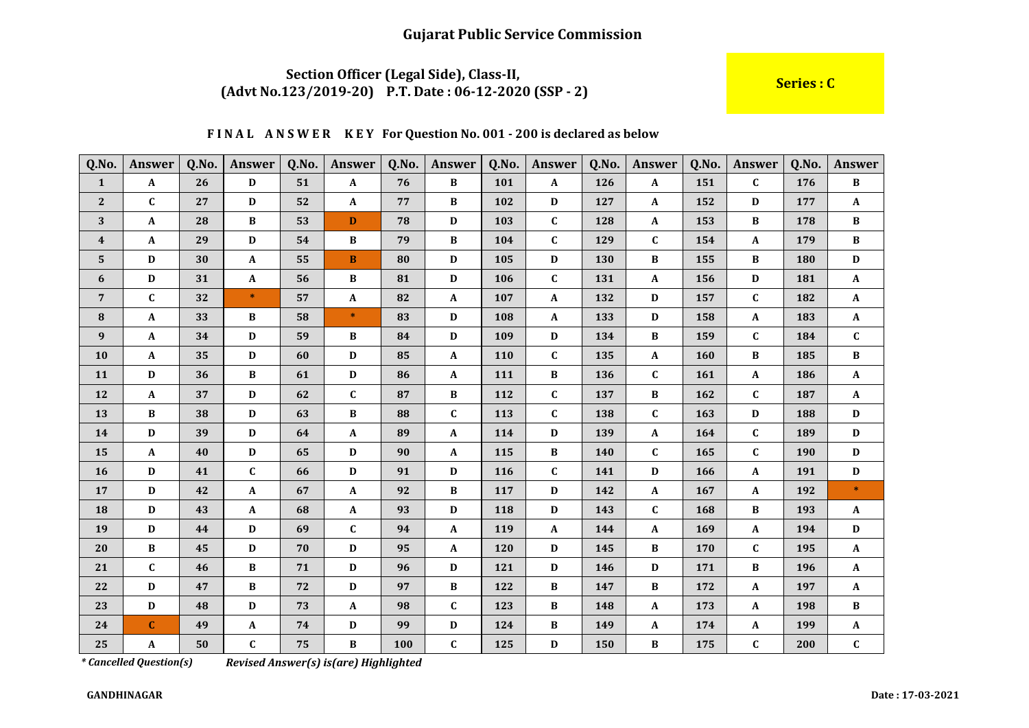### Section Officer (Legal Side), Class-II, (Advt No.123/2019-20) P.T. Date: 06-12-2020 (SSP - 2)

#### Series : C

#### FINAL ANSWER KEY For Question No. 001 - 200 is declared as below

| Q.No.                   | <b>Answer</b> | Q.No. | Answer | Q.No. | Answer       | Q.No. | <b>Answer</b> | Q.No. | Answer       | Q.No. | Answer       | Q.No. | Answer       | Q.No. | <b>Answer</b>   |
|-------------------------|---------------|-------|--------|-------|--------------|-------|---------------|-------|--------------|-------|--------------|-------|--------------|-------|-----------------|
| $\mathbf{1}$            | $\mathbf{A}$  | 26    | D      | 51    | $\mathbf{A}$ | 76    | $\bf{B}$      | 101   | A            | 126   | A            | 151   | $\mathbf{C}$ | 176   | B               |
| $\mathbf{2}$            | $\mathbf{C}$  | 27    | D      | 52    | $\mathbf A$  | 77    | $\bf{B}$      | 102   | D            | 127   | A            | 152   | D            | 177   | $\mathbf{A}$    |
| 3                       | $\mathbf{A}$  | 28    | B      | 53    | D            | 78    | D             | 103   | C            | 128   | A            | 153   | B            | 178   | B               |
| $\overline{\mathbf{4}}$ | $\mathbf{A}$  | 29    | D      | 54    | $\, {\bf B}$ | 79    | $\, {\bf B}$  | 104   | $\mathbf{C}$ | 129   | $\mathbf{C}$ | 154   | $\mathbf{A}$ | 179   | $\, {\bf B} \,$ |
| 5                       | D             | 30    | A      | 55    | $\bf{B}$     | 80    | D             | 105   | D            | 130   | $\bf{B}$     | 155   | $\bf{B}$     | 180   | $\mathbf D$     |
| 6                       | D             | 31    | A      | 56    | $\, {\bf B}$ | 81    | D             | 106   | $\mathbf{C}$ | 131   | A            | 156   | D            | 181   | $\mathbf{A}$    |
| $7\overline{ }$         | $\mathbf{C}$  | 32    | $\ast$ | 57    | A            | 82    | $\mathbf{A}$  | 107   | $\mathbf{A}$ | 132   | D            | 157   | $\mathbf{C}$ | 182   | $\mathbf{A}$    |
| ${\bf 8}$               | $\mathbf{A}$  | 33    | B      | 58    | $\ast$       | 83    | $\mathbf D$   | 108   | A            | 133   | D            | 158   | A            | 183   | $\mathbf{A}$    |
| 9                       | $\mathbf A$   | 34    | D      | 59    | B            | 84    | D             | 109   | D            | 134   | B            | 159   | $\mathbf{C}$ | 184   | $\mathbf{C}$    |
| 10                      | $\mathbf{A}$  | 35    | D      | 60    | D            | 85    | $\mathbf{A}$  | 110   | C            | 135   | $\mathbf{A}$ | 160   | B            | 185   | B               |
| 11                      | $\mathbf D$   | 36    | B      | 61    | $\mathbf D$  | 86    | $\mathbf{A}$  | 111   | B            | 136   | $\mathbf C$  | 161   | $\mathbf{A}$ | 186   | $\mathbf{A}$    |
| 12                      | $\mathbf{A}$  | 37    | D      | 62    | $\mathbf{C}$ | 87    | $\, {\bf B}$  | 112   | C            | 137   | $\bf{B}$     | 162   | $\mathbf{C}$ | 187   | $\mathbf{A}$    |
| 13                      | $\bf{B}$      | 38    | D      | 63    | $\, {\bf B}$ | 88    | $\mathbf{C}$  | 113   | C            | 138   | $\mathbf{C}$ | 163   | D            | 188   | $\mathbf D$     |
| 14                      | $\mathbf D$   | 39    | D      | 64    | $\mathbf{A}$ | 89    | $\mathbf{A}$  | 114   | D            | 139   | A            | 164   | $\mathbf{C}$ | 189   | D               |
| 15                      | $\mathbf{A}$  | 40    | D      | 65    | D            | 90    | $\mathbf{A}$  | 115   | В            | 140   | $\mathbf C$  | 165   | C            | 190   | $\mathbf D$     |
| 16                      | D             | 41    | C      | 66    | $\mathbf D$  | 91    | D             | 116   | C            | 141   | D            | 166   | $\mathbf A$  | 191   | D               |
| 17                      | D             | 42    | A      | 67    | $\mathbf A$  | 92    | B             | 117   | D            | 142   | A            | 167   | A            | 192   | $\ast$          |
| 18                      | $\mathbf{D}$  | 43    | A      | 68    | $\mathbf A$  | 93    | $\mathbf D$   | 118   | $\mathbf D$  | 143   | $\mathbf{C}$ | 168   | $\bf{B}$     | 193   | $\mathbf{A}$    |
| 19                      | $\mathbf D$   | 44    | D      | 69    | $\mathbf{C}$ | 94    | $\mathbf{A}$  | 119   | A            | 144   | $\mathbf{A}$ | 169   | $\mathbf{A}$ | 194   | $\mathbf D$     |
| 20                      | В             | 45    | D      | 70    | $\mathbf D$  | 95    | $\mathbf{A}$  | 120   | $\mathbf D$  | 145   | $\bf{B}$     | 170   | $\mathbf{C}$ | 195   | $\mathbf{A}$    |
| 21                      | $\mathbf{C}$  | 46    | B      | 71    | D            | 96    | D             | 121   | D            | 146   | D            | 171   | B            | 196   | $\mathbf{A}$    |
| 22                      | $\mathbf D$   | 47    | B      | 72    | D            | 97    | $\, {\bf B}$  | 122   | B            | 147   | B            | 172   | A            | 197   | $\mathbf{A}$    |
| 23                      | D             | 48    | D      | 73    | $\mathbf{A}$ | 98    | $\mathbf{C}$  | 123   | B            | 148   | $\mathbf A$  | 173   | $\mathbf{A}$ | 198   | $\bf{B}$        |
| 24                      | $\mathbf{C}$  | 49    | A      | 74    | D            | 99    | D             | 124   | B            | 149   | A            | 174   | A            | 199   | $\mathbf{A}$    |
| 25                      | A             | 50    | C      | 75    | B            | 100   | $\mathbf{C}$  | 125   | D            | 150   | B            | 175   | $\mathbf{C}$ | 200   | $\mathbf{C}$    |

*\* Cancelled Question(s)* 

Revised Answer(s) is(are) Highlighted